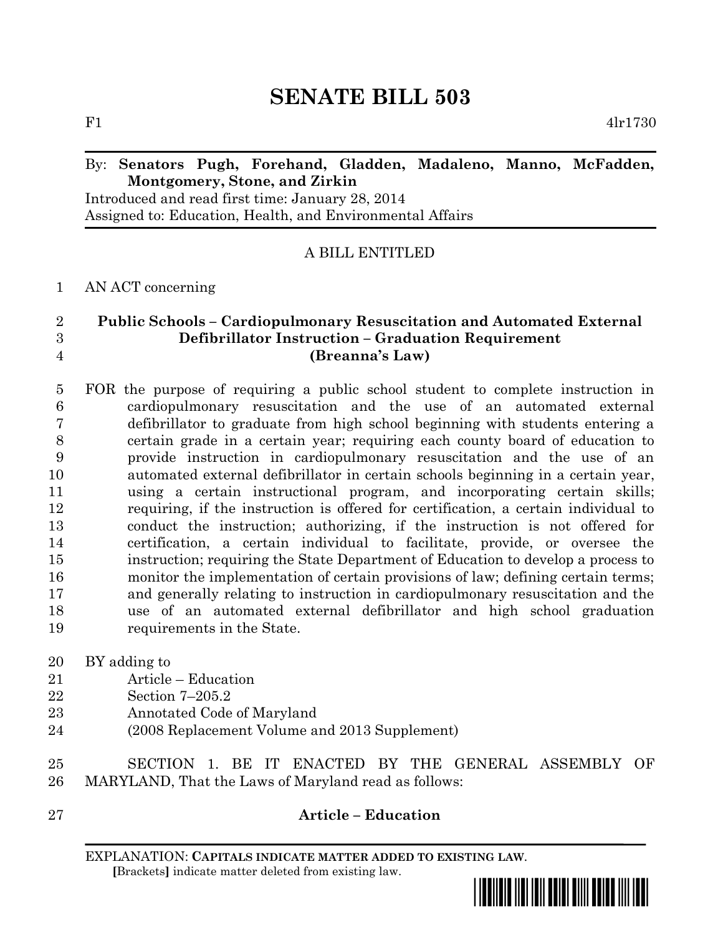# **SENATE BILL 503**

F1 4lr1730

#### By: **Senators Pugh, Forehand, Gladden, Madaleno, Manno, McFadden, Montgomery, Stone, and Zirkin**

Introduced and read first time: January 28, 2014 Assigned to: Education, Health, and Environmental Affairs

A BILL ENTITLED

AN ACT concerning

## **Public Schools – Cardiopulmonary Resuscitation and Automated External Defibrillator Instruction – Graduation Requirement (Breanna's Law)**

- FOR the purpose of requiring a public school student to complete instruction in cardiopulmonary resuscitation and the use of an automated external defibrillator to graduate from high school beginning with students entering a certain grade in a certain year; requiring each county board of education to provide instruction in cardiopulmonary resuscitation and the use of an automated external defibrillator in certain schools beginning in a certain year, using a certain instructional program, and incorporating certain skills; requiring, if the instruction is offered for certification, a certain individual to conduct the instruction; authorizing, if the instruction is not offered for certification, a certain individual to facilitate, provide, or oversee the instruction; requiring the State Department of Education to develop a process to monitor the implementation of certain provisions of law; defining certain terms; and generally relating to instruction in cardiopulmonary resuscitation and the use of an automated external defibrillator and high school graduation requirements in the State.
- BY adding to
- Article Education
- Section 7–205.2
- Annotated Code of Maryland
- (2008 Replacement Volume and 2013 Supplement)
- SECTION 1. BE IT ENACTED BY THE GENERAL ASSEMBLY OF MARYLAND, That the Laws of Maryland read as follows:
- 

## **Article – Education**

EXPLANATION: **CAPITALS INDICATE MATTER ADDED TO EXISTING LAW**.  **[**Brackets**]** indicate matter deleted from existing law.

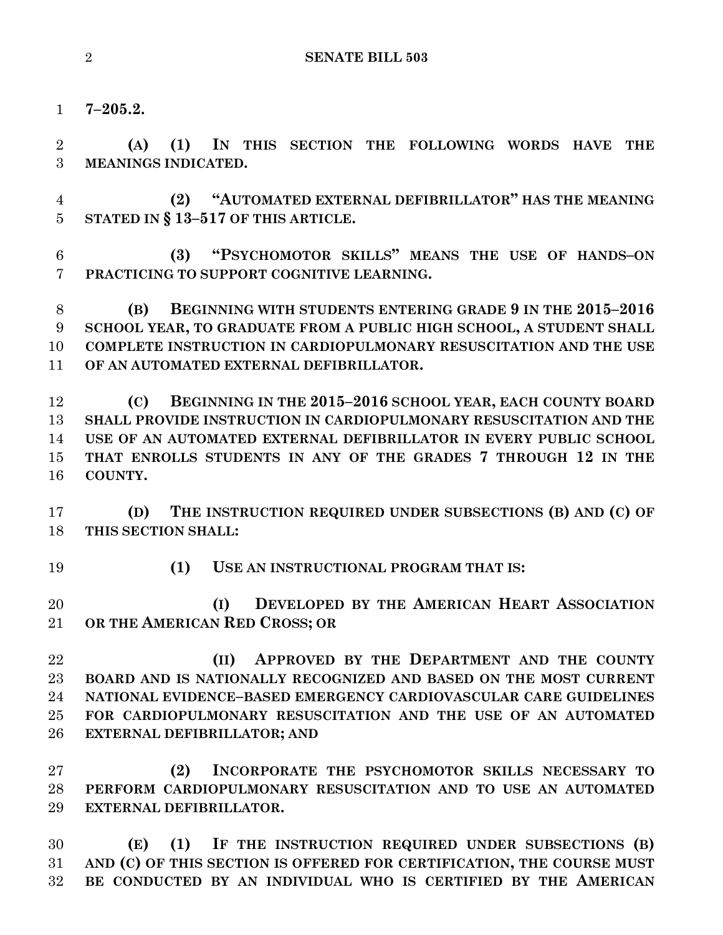**7–205.2.**

 **(A) (1) IN THIS SECTION THE FOLLOWING WORDS HAVE THE MEANINGS INDICATED.**

 **(2) "AUTOMATED EXTERNAL DEFIBRILLATOR" HAS THE MEANING STATED IN § 13–517 OF THIS ARTICLE.**

 **(3) "PSYCHOMOTOR SKILLS" MEANS THE USE OF HANDS–ON PRACTICING TO SUPPORT COGNITIVE LEARNING.**

 **(B) BEGINNING WITH STUDENTS ENTERING GRADE 9 IN THE 2015–2016 SCHOOL YEAR, TO GRADUATE FROM A PUBLIC HIGH SCHOOL, A STUDENT SHALL COMPLETE INSTRUCTION IN CARDIOPULMONARY RESUSCITATION AND THE USE OF AN AUTOMATED EXTERNAL DEFIBRILLATOR.**

 **(C) BEGINNING IN THE 2015–2016 SCHOOL YEAR, EACH COUNTY BOARD SHALL PROVIDE INSTRUCTION IN CARDIOPULMONARY RESUSCITATION AND THE USE OF AN AUTOMATED EXTERNAL DEFIBRILLATOR IN EVERY PUBLIC SCHOOL THAT ENROLLS STUDENTS IN ANY OF THE GRADES 7 THROUGH 12 IN THE COUNTY.**

 **(D) THE INSTRUCTION REQUIRED UNDER SUBSECTIONS (B) AND (C) OF THIS SECTION SHALL:**

**(1) USE AN INSTRUCTIONAL PROGRAM THAT IS:**

 **(I) DEVELOPED BY THE AMERICAN HEART ASSOCIATION OR THE AMERICAN RED CROSS; OR** 

 **(II) APPROVED BY THE DEPARTMENT AND THE COUNTY BOARD AND IS NATIONALLY RECOGNIZED AND BASED ON THE MOST CURRENT NATIONAL EVIDENCE–BASED EMERGENCY CARDIOVASCULAR CARE GUIDELINES FOR CARDIOPULMONARY RESUSCITATION AND THE USE OF AN AUTOMATED EXTERNAL DEFIBRILLATOR; AND**

 **(2) INCORPORATE THE PSYCHOMOTOR SKILLS NECESSARY TO PERFORM CARDIOPULMONARY RESUSCITATION AND TO USE AN AUTOMATED EXTERNAL DEFIBRILLATOR.**

 **(E) (1) IF THE INSTRUCTION REQUIRED UNDER SUBSECTIONS (B) AND (C) OF THIS SECTION IS OFFERED FOR CERTIFICATION, THE COURSE MUST BE CONDUCTED BY AN INDIVIDUAL WHO IS CERTIFIED BY THE AMERICAN**